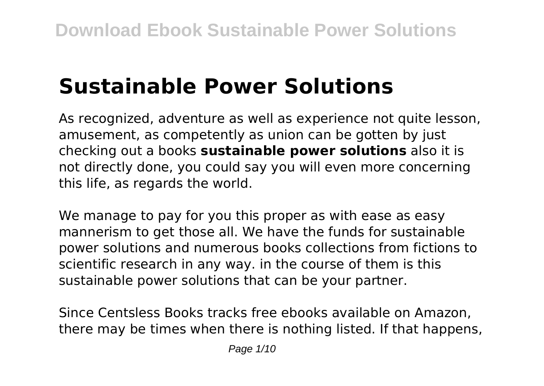# **Sustainable Power Solutions**

As recognized, adventure as well as experience not quite lesson, amusement, as competently as union can be gotten by just checking out a books **sustainable power solutions** also it is not directly done, you could say you will even more concerning this life, as regards the world.

We manage to pay for you this proper as with ease as easy mannerism to get those all. We have the funds for sustainable power solutions and numerous books collections from fictions to scientific research in any way. in the course of them is this sustainable power solutions that can be your partner.

Since Centsless Books tracks free ebooks available on Amazon, there may be times when there is nothing listed. If that happens,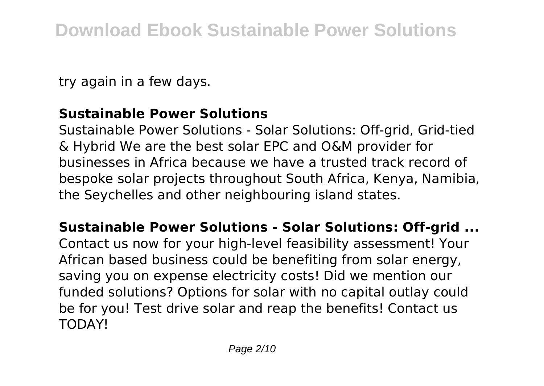try again in a few days.

## **Sustainable Power Solutions**

Sustainable Power Solutions - Solar Solutions: Off-grid, Grid-tied & Hybrid We are the best solar EPC and O&M provider for businesses in Africa because we have a trusted track record of bespoke solar projects throughout South Africa, Kenya, Namibia, the Seychelles and other neighbouring island states.

**Sustainable Power Solutions - Solar Solutions: Off-grid ...** Contact us now for your high-level feasibility assessment! Your African based business could be benefiting from solar energy, saving you on expense electricity costs! Did we mention our funded solutions? Options for solar with no capital outlay could be for you! Test drive solar and reap the benefits! Contact us TODAY!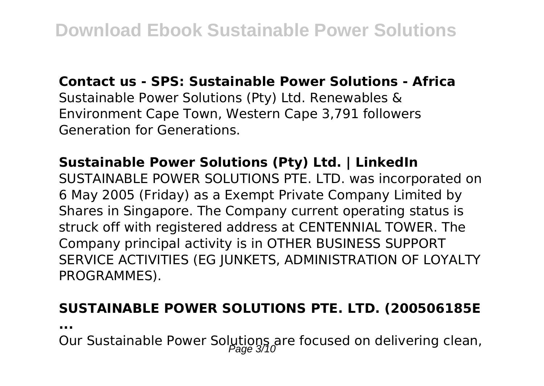**Contact us - SPS: Sustainable Power Solutions - Africa**

Sustainable Power Solutions (Pty) Ltd. Renewables & Environment Cape Town, Western Cape 3,791 followers Generation for Generations.

# **Sustainable Power Solutions (Pty) Ltd. | LinkedIn**

SUSTAINABLE POWER SOLUTIONS PTE. LTD. was incorporated on 6 May 2005 (Friday) as a Exempt Private Company Limited by Shares in Singapore. The Company current operating status is struck off with registered address at CENTENNIAL TOWER. The Company principal activity is in OTHER BUSINESS SUPPORT SERVICE ACTIVITIES (EG JUNKETS, ADMINISTRATION OF LOYALTY PROGRAMMES).

#### **SUSTAINABLE POWER SOLUTIONS PTE. LTD. (200506185E**

**...**

Our Sustainable Power Solutions are focused on delivering clean,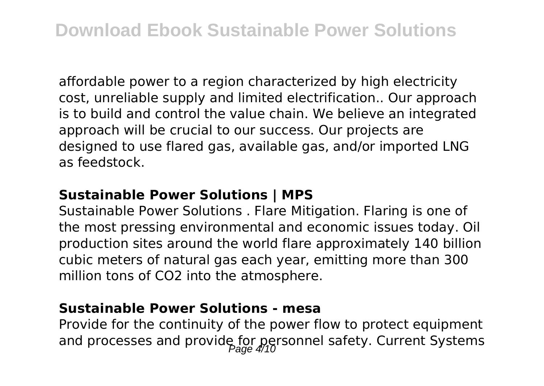affordable power to a region characterized by high electricity cost, unreliable supply and limited electrification.. Our approach is to build and control the value chain. We believe an integrated approach will be crucial to our success. Our projects are designed to use flared gas, available gas, and/or imported LNG as feedstock.

### **Sustainable Power Solutions | MPS**

Sustainable Power Solutions . Flare Mitigation. Flaring is one of the most pressing environmental and economic issues today. Oil production sites around the world flare approximately 140 billion cubic meters of natural gas each year, emitting more than 300 million tons of CO2 into the atmosphere.

## **Sustainable Power Solutions - mesa**

Provide for the continuity of the power flow to protect equipment and processes and provide for personnel safety. Current Systems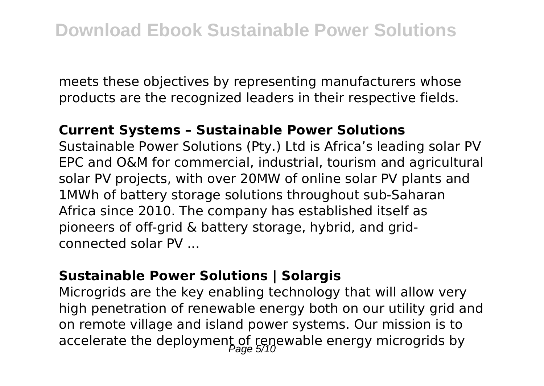meets these objectives by representing manufacturers whose products are the recognized leaders in their respective fields.

#### **Current Systems – Sustainable Power Solutions**

Sustainable Power Solutions (Pty.) Ltd is Africa's leading solar PV EPC and O&M for commercial, industrial, tourism and agricultural solar PV projects, with over 20MW of online solar PV plants and 1MWh of battery storage solutions throughout sub-Saharan Africa since 2010. The company has established itself as pioneers of off-grid & battery storage, hybrid, and gridconnected solar PV ...

#### **Sustainable Power Solutions | Solargis**

Microgrids are the key enabling technology that will allow very high penetration of renewable energy both on our utility grid and on remote village and island power systems. Our mission is to accelerate the deployment of renewable energy microgrids by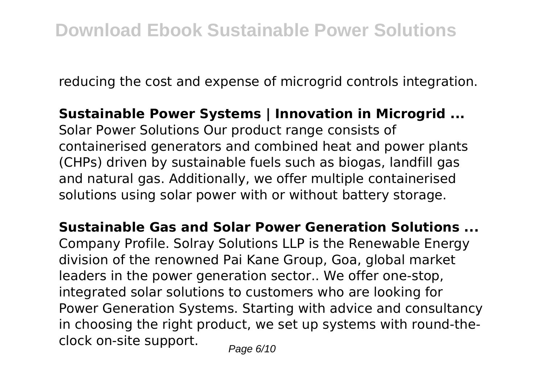reducing the cost and expense of microgrid controls integration.

# **Sustainable Power Systems | Innovation in Microgrid ...**

Solar Power Solutions Our product range consists of containerised generators and combined heat and power plants (CHPs) driven by sustainable fuels such as biogas, landfill gas and natural gas. Additionally, we offer multiple containerised solutions using solar power with or without battery storage.

**Sustainable Gas and Solar Power Generation Solutions ...** Company Profile. Solray Solutions LLP is the Renewable Energy division of the renowned Pai Kane Group, Goa, global market leaders in the power generation sector.. We offer one-stop, integrated solar solutions to customers who are looking for Power Generation Systems. Starting with advice and consultancy in choosing the right product, we set up systems with round-theclock on-site support.  $P_{\text{a}q\text{e}}6/10$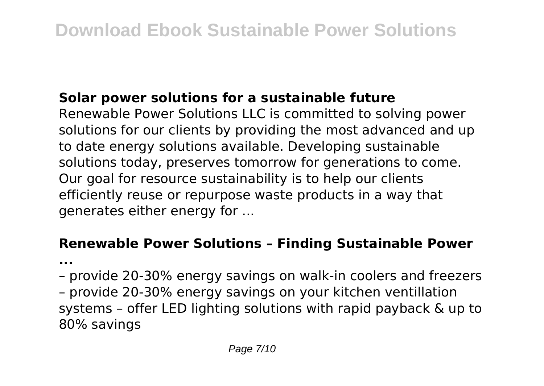# **Solar power solutions for a sustainable future**

Renewable Power Solutions LLC is committed to solving power solutions for our clients by providing the most advanced and up to date energy solutions available. Developing sustainable solutions today, preserves tomorrow for generations to come. Our goal for resource sustainability is to help our clients efficiently reuse or repurpose waste products in a way that generates either energy for ...

# **Renewable Power Solutions – Finding Sustainable Power**

**...**

- provide 20-30% energy savings on walk-in coolers and freezers
- provide 20-30% energy savings on your kitchen ventillation systems – offer LED lighting solutions with rapid payback & up to 80% savings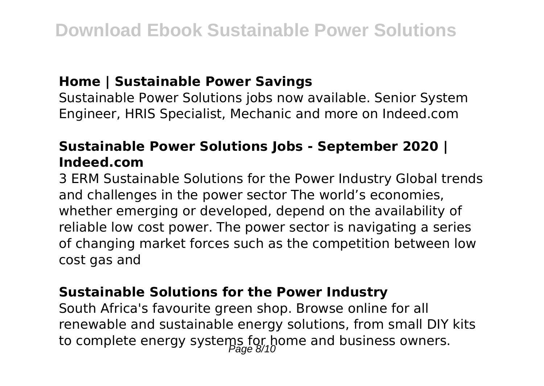### **Home | Sustainable Power Savings**

Sustainable Power Solutions jobs now available. Senior System Engineer, HRIS Specialist, Mechanic and more on Indeed.com

# **Sustainable Power Solutions Jobs - September 2020 | Indeed.com**

3 ERM Sustainable Solutions for the Power Industry Global trends and challenges in the power sector The world's economies, whether emerging or developed, depend on the availability of reliable low cost power. The power sector is navigating a series of changing market forces such as the competition between low cost gas and

### **Sustainable Solutions for the Power Industry**

South Africa's favourite green shop. Browse online for all renewable and sustainable energy solutions, from small DIY kits to complete energy systems for home and business owners.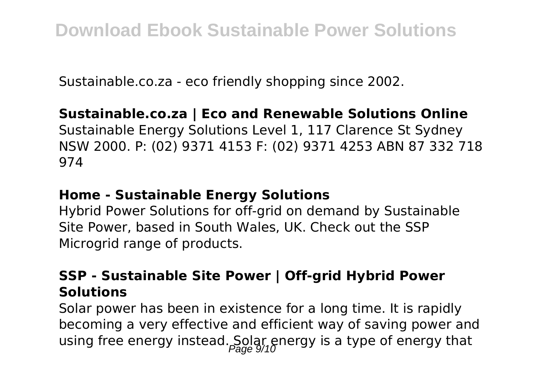Sustainable.co.za - eco friendly shopping since 2002.

# **Sustainable.co.za | Eco and Renewable Solutions Online**

Sustainable Energy Solutions Level 1, 117 Clarence St Sydney NSW 2000. P: (02) 9371 4153 F: (02) 9371 4253 ABN 87 332 718 974

## **Home - Sustainable Energy Solutions**

Hybrid Power Solutions for off-grid on demand by Sustainable Site Power, based in South Wales, UK. Check out the SSP Microgrid range of products.

# **SSP - Sustainable Site Power | Off-grid Hybrid Power Solutions**

Solar power has been in existence for a long time. It is rapidly becoming a very effective and efficient way of saving power and using free energy instead. Solar energy is a type of energy that